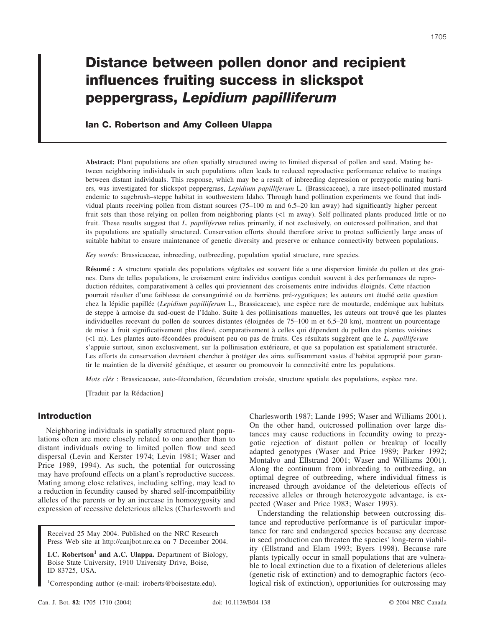# **Distance between pollen donor and recipient influences fruiting success in slickspot peppergrass,** *Lepidium papilliferum*

# **Ian C. Robertson and Amy Colleen Ulappa**

**Abstract:** Plant populations are often spatially structured owing to limited dispersal of pollen and seed. Mating between neighboring individuals in such populations often leads to reduced reproductive performance relative to matings between distant individuals. This response, which may be a result of inbreeding depression or prezygotic mating barriers, was investigated for slickspot peppergrass, *Lepidium papilliferum* L. (Brassicaceae), a rare insect-pollinated mustard endemic to sagebrush–steppe habitat in southwestern Idaho. Through hand pollination experiments we found that individual plants receiving pollen from distant sources (75–100 m and 6.5–20 km away) had significantly higher percent fruit sets than those relying on pollen from neighboring plants (<1 m away). Self pollinated plants produced little or no fruit. These results suggest that *L. papilliferum* relies primarily, if not exclusively, on outcrossed pollination, and that its populations are spatially structured. Conservation efforts should therefore strive to protect sufficiently large areas of suitable habitat to ensure maintenance of genetic diversity and preserve or enhance connectivity between populations.

*Key words:* Brassicaceae, inbreeding, outbreeding, population spatial structure, rare species.

**Résumé :** A structure spatiale des populations végétales est souvent liée a une dispersion limitée du pollen et des graines. Dans de telles populations, le croisement entre individus contigus conduit souvent à des performances de reproduction réduites, comparativement à celles qui proviennent des croisements entre individus éloignés. Cette réaction pourrait résulter d'une faiblesse de consanguinité ou de barrières pré-zygotiques; les auteurs ont étudié cette question chez la lépidie papillée (*Lepidium papilliferum* L., Brassicaceae), une espèce rare de moutarde, endémique aux habitats de steppe à armoise du sud-ouest de l'Idaho. Suite à des pollinisations manuelles, les auteurs ont trouvé que les plantes individuelles recevant du pollen de sources distantes (éloignées de 75–100 m et 6,5–20 km), montrent un pourcentage de mise à fruit significativement plus élevé, comparativement à celles qui dépendent du pollen des plantes voisines (<1 m). Les plantes auto-fécondées produisent peu ou pas de fruits. Ces résultats suggèrent que le *L. papilliferum* s'appuie surtout, sinon exclusivement, sur la pollinisation extérieure, et que sa population est spatialement structurée. Les efforts de conservation devraient chercher à protéger des aires suffisamment vastes d'habitat approprié pour garantir le maintien de la diversité génétique, et assurer ou promouvoir la connectivité entre les populations.

*Mots clés* : Brassicaceae, auto-fécondation, fécondation croisée, structure spatiale des populations, espèce rare.

[Traduit par la Rédaction]

# **Introduction**

Neighboring individuals in spatially structured plant populations often are more closely related to one another than to distant individuals owing to limited pollen flow and seed dispersal (Levin and Kerster 1974; Levin 1981; Waser and Price 1989, 1994). As such, the potential for outcrossing may have profound effects on a plant's reproductive success. Mating among close relatives, including selfing, may lead to a reduction in fecundity caused by shared self-incompatibility alleles of the parents or by an increase in homozygosity and expression of recessive deleterious alleles (Charlesworth and

Received 25 May 2004. Published on the NRC Research Press Web site at http://canjbot.nrc.ca on 7 December 2004.

**I.C. Robertson<sup>1</sup> and A.C. Ulappa.** Department of Biology, Boise State University, 1910 University Drive, Boise, ID 83725, USA.

1 Corresponding author (e-mail: iroberts@boisestate.edu).

Charlesworth 1987; Lande 1995; Waser and Williams 2001). On the other hand, outcrossed pollination over large distances may cause reductions in fecundity owing to prezygotic rejection of distant pollen or breakup of locally adapted genotypes (Waser and Price 1989; Parker 1992; Montalvo and Ellstrand 2001; Waser and Williams 2001). Along the continuum from inbreeding to outbreeding, an optimal degree of outbreeding, where individual fitness is increased through avoidance of the deleterious effects of recessive alleles or through heterozygote advantage, is expected (Waser and Price 1983; Waser 1993).

Understanding the relationship between outcrossing distance and reproductive performance is of particular importance for rare and endangered species because any decrease in seed production can threaten the species' long-term viability (Ellstrand and Elam 1993; Byers 1998). Because rare plants typically occur in small populations that are vulnerable to local extinction due to a fixation of deleterious alleles (genetic risk of extinction) and to demographic factors (ecological risk of extinction), opportunities for outcrossing may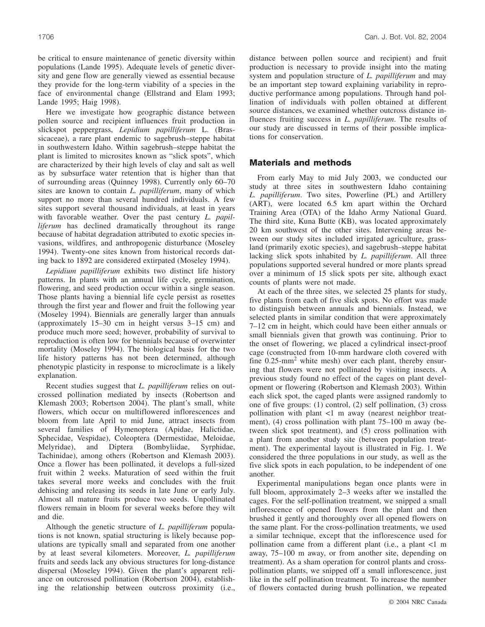be critical to ensure maintenance of genetic diversity within populations (Lande 1995). Adequate levels of genetic diversity and gene flow are generally viewed as essential because they provide for the long-term viability of a species in the face of environmental change (Ellstrand and Elam 1993; Lande 1995; Haig 1998).

Here we investigate how geographic distance between pollen source and recipient influences fruit production in slickspot peppergrass, *Lepidium papilliferum* L. (Brassicaceae), a rare plant endemic to sagebrush–steppe habitat in southwestern Idaho. Within sagebrush–steppe habitat the plant is limited to microsites known as "slick spots", which are characterized by their high levels of clay and salt as well as by subsurface water retention that is higher than that of surrounding areas (Quinney 1998). Currently only 60–70 sites are known to contain *L. papilliferum*, many of which support no more than several hundred individuals. A few sites support several thousand individuals, at least in years with favorable weather. Over the past century *L. papilliferum* has declined dramatically throughout its range because of habitat degradation attributed to exotic species invasions, wildfires, and anthropogenic disturbance (Moseley 1994). Twenty-one sites known from historical records dating back to 1892 are considered extirpated (Moseley 1994).

*Lepidium papilliferum* exhibits two distinct life history patterns. In plants with an annual life cycle, germination, flowering, and seed production occur within a single season. Those plants having a biennial life cycle persist as rosettes through the first year and flower and fruit the following year (Moseley 1994). Biennials are generally larger than annuals (approximately 15–30 cm in height versus 3–15 cm) and produce much more seed; however, probability of survival to reproduction is often low for biennials because of overwinter mortality (Moseley 1994). The biological basis for the two life history patterns has not been determined, although phenotypic plasticity in response to microclimate is a likely explanation.

Recent studies suggest that *L. papilliferum* relies on outcrossed pollination mediated by insects (Robertson and Klemash 2003; Robertson 2004). The plant's small, white flowers, which occur on multiflowered inflorescences and bloom from late April to mid June, attract insects from several families of Hymenoptera (Apidae, Halictidae, Sphecidae, Vespidae), Coleoptera (Dermestidae, Meloidae, Melyridae), and Diptera (Bombyliidae, Syrphidae, Tachinidae), among others (Robertson and Klemash 2003). Once a flower has been pollinated, it develops a full-sized fruit within 2 weeks. Maturation of seed within the fruit takes several more weeks and concludes with the fruit dehiscing and releasing its seeds in late June or early July. Almost all mature fruits produce two seeds. Unpollinated flowers remain in bloom for several weeks before they wilt and die.

Although the genetic structure of *L. papilliferum* populations is not known, spatial structuring is likely because populations are typically small and separated from one another by at least several kilometers. Moreover, *L. papilliferum* fruits and seeds lack any obvious structures for long-distance dispersal (Moseley 1994). Given the plant's apparent reliance on outcrossed pollination (Robertson 2004), establishing the relationship between outcross proximity (i.e., distance between pollen source and recipient) and fruit production is necessary to provide insight into the mating system and population structure of *L. papilliferum* and may be an important step toward explaining variability in reproductive performance among populations. Through hand pollination of individuals with pollen obtained at different source distances, we examined whether outcross distance influences fruiting success in *L. papilliferum*. The results of our study are discussed in terms of their possible implications for conservation.

## **Materials and methods**

From early May to mid July 2003, we conducted our study at three sites in southwestern Idaho containing *L. papilliferum*. Two sites, Powerline (PL) and Artillery (ART), were located 6.5 km apart within the Orchard Training Area (OTA) of the Idaho Army National Guard. The third site, Kuna Butte (KB), was located approximately 20 km southwest of the other sites. Intervening areas between our study sites included irrigated agriculture, grassland (primarily exotic species), and sagebrush–steppe habitat lacking slick spots inhabited by *L. papilliferum*. All three populations supported several hundred or more plants spread over a minimum of 15 slick spots per site, although exact counts of plants were not made.

At each of the three sites, we selected 25 plants for study, five plants from each of five slick spots. No effort was made to distinguish between annuals and biennials. Instead, we selected plants in similar condition that were approximately 7–12 cm in height, which could have been either annuals or small biennials given that growth was continuing. Prior to the onset of flowering, we placed a cylindrical insect-proof cage (constructed from 10-mm hardware cloth covered with fine  $0.25$ -mm<sup>2</sup> white mesh) over each plant, thereby ensuring that flowers were not pollinated by visiting insects. A previous study found no effect of the cages on plant development or flowering (Robertson and Klemash 2003). Within each slick spot, the caged plants were assigned randomly to one of five groups: (1) control, (2) self pollination, (3) cross pollination with plant <1 m away (nearest neighbor treatment), (4) cross pollination with plant 75–100 m away (between slick spot treatment), and (5) cross pollination with a plant from another study site (between population treatment). The experimental layout is illustrated in Fig. 1. We considered the three populations in our study, as well as the five slick spots in each population, to be independent of one another.

Experimental manipulations began once plants were in full bloom, approximately 2–3 weeks after we installed the cages. For the self-pollination treatment, we snipped a small inflorescence of opened flowers from the plant and then brushed it gently and thoroughly over all opened flowers on the same plant. For the cross-pollination treatments, we used a similar technique, except that the inflorescence used for pollination came from a different plant (i.e., a plant <1 m away, 75–100 m away, or from another site, depending on treatment). As a sham operation for control plants and crosspollination plants, we snipped off a small inflorescence, just like in the self pollination treatment. To increase the number of flowers contacted during brush pollination, we repeated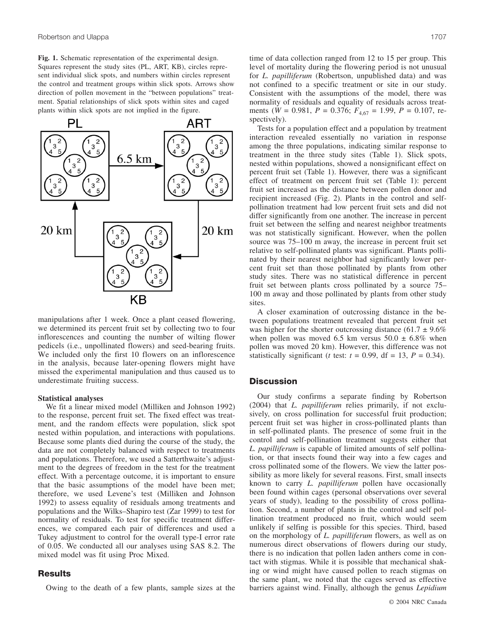**Fig. 1.** Schematic representation of the experimental design. Squares represent the study sites (PL, ART, KB), circles represent individual slick spots, and numbers within circles represent the control and treatment groups within slick spots. Arrows show direction of pollen movement in the "between populations" treatment. Spatial relationships of slick spots within sites and caged plants within slick spots are not implied in the figure.



manipulations after 1 week. Once a plant ceased flowering, we determined its percent fruit set by collecting two to four inflorescences and counting the number of wilting flower pedicels (i.e., unpollinated flowers) and seed-bearing fruits. We included only the first 10 flowers on an inflorescence in the analysis, because later-opening flowers might have missed the experimental manipulation and thus caused us to underestimate fruiting success.

#### **Statistical analyses**

We fit a linear mixed model (Milliken and Johnson 1992) to the response, percent fruit set. The fixed effect was treatment, and the random effects were population, slick spot nested within population, and interactions with populations. Because some plants died during the course of the study, the data are not completely balanced with respect to treatments and populations. Therefore, we used a Satterthwaite's adjustment to the degrees of freedom in the test for the treatment effect. With a percentage outcome, it is important to ensure that the basic assumptions of the model have been met; therefore, we used Levene's test (Milliken and Johnson 1992) to assess equality of residuals among treatments and populations and the Wilks–Shapiro test (Zar 1999) to test for normality of residuals. To test for specific treatment differences, we compared each pair of differences and used a Tukey adjustment to control for the overall type-I error rate of 0.05. We conducted all our analyses using SAS 8.2. The mixed model was fit using Proc Mixed.

## **Results**

Owing to the death of a few plants, sample sizes at the

time of data collection ranged from 12 to 15 per group. This level of mortality during the flowering period is not unusual for *L. papilliferum* (Robertson, unpublished data) and was not confined to a specific treatment or site in our study. Consistent with the assumptions of the model, there was normality of residuals and equality of residuals across treatments (*W* = 0.981, *P* = 0.376; *F*4,67 = 1.99, *P* = 0.107, respectively).

Tests for a population effect and a population by treatment interaction revealed essentially no variation in response among the three populations, indicating similar response to treatment in the three study sites (Table 1). Slick spots, nested within populations, showed a nonsignificant effect on percent fruit set (Table 1). However, there was a significant effect of treatment on percent fruit set (Table 1): percent fruit set increased as the distance between pollen donor and recipient increased (Fig. 2). Plants in the control and selfpollination treatment had low percent fruit sets and did not differ significantly from one another. The increase in percent fruit set between the selfing and nearest neighbor treatments was not statistically significant. However, when the pollen source was 75–100 m away, the increase in percent fruit set relative to self-pollinated plants was significant. Plants pollinated by their nearest neighbor had significantly lower percent fruit set than those pollinated by plants from other study sites. There was no statistical difference in percent fruit set between plants cross pollinated by a source 75– 100 m away and those pollinated by plants from other study sites.

A closer examination of outcrossing distance in the between populations treatment revealed that percent fruit set was higher for the shorter outcrossing distance  $(61.7 \pm 9.6\%)$ when pollen was moved 6.5 km versus  $50.0 \pm 6.8\%$  when pollen was moved 20 km). However, this difference was not statistically significant (*t* test:  $t = 0.99$ , df = 13,  $P = 0.34$ ).

## **Discussion**

Our study confirms a separate finding by Robertson (2004) that *L. papilliferum* relies primarily, if not exclusively, on cross pollination for successful fruit production; percent fruit set was higher in cross-pollinated plants than in self-pollinated plants. The presence of some fruit in the control and self-pollination treatment suggests either that *L. papilliferum* is capable of limited amounts of self pollination, or that insects found their way into a few cages and cross pollinated some of the flowers. We view the latter possibility as more likely for several reasons. First, small insects known to carry *L. papilliferum* pollen have occasionally been found within cages (personal observations over several years of study), leading to the possibility of cross pollination. Second, a number of plants in the control and self pollination treatment produced no fruit, which would seem unlikely if selfing is possible for this species. Third, based on the morphology of *L. papilliferum* flowers, as well as on numerous direct observations of flowers during our study, there is no indication that pollen laden anthers come in contact with stigmas. While it is possible that mechanical shaking or wind might have caused pollen to reach stigmas on the same plant, we noted that the cages served as effective barriers against wind. Finally, although the genus *Lepidium*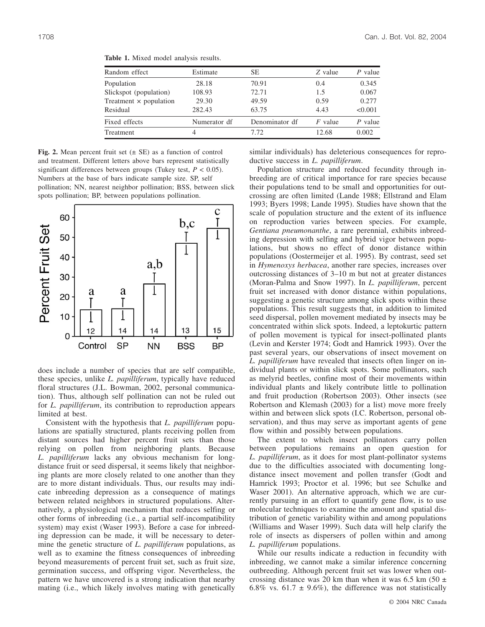| Random effect                 | Estimate     | SE.            | Z value   | P value |
|-------------------------------|--------------|----------------|-----------|---------|
| Population                    | 28.18        | 70.91          | 0.4       | 0.345   |
| Slickspot (population)        | 108.93       | 72.71          | 1.5       | 0.067   |
| Treatment $\times$ population | 29.30        | 49.59          | 0.59      | 0.277   |
| Residual                      | 282.43       | 63.75          | 4.43      | < 0.001 |
| Fixed effects                 | Numerator df | Denominator df | $F$ value | P value |
| Treatment                     | 4            | 7.72           | 12.68     | 0.002   |

**Table 1.** Mixed model analysis results.

**Fig. 2.** Mean percent fruit set  $(\pm \text{ SE})$  as a function of control and treatment. Different letters above bars represent statistically significant differences between groups (Tukey test, *P* < 0.05). Numbers at the base of bars indicate sample size. SP, self pollination; NN, nearest neighbor pollination; BSS, between slick spots pollination; BP, between populations pollination.



does include a number of species that are self compatible, these species, unlike *L. papilliferum*, typically have reduced floral structures (J.L. Bowman, 2002, personal communication). Thus, although self pollination can not be ruled out for *L. papilliferum*, its contribution to reproduction appears limited at best.

Consistent with the hypothesis that *L. papilliferum* populations are spatially structured, plants receiving pollen from distant sources had higher percent fruit sets than those relying on pollen from neighboring plants. Because *L. papilliferum* lacks any obvious mechanism for longdistance fruit or seed dispersal, it seems likely that neighboring plants are more closely related to one another than they are to more distant individuals. Thus, our results may indicate inbreeding depression as a consequence of matings between related neighbors in structured populations. Alternatively, a physiological mechanism that reduces selfing or other forms of inbreeding (i.e., a partial self-incompatibility system) may exist (Waser 1993). Before a case for inbreeding depression can be made, it will be necessary to determine the genetic structure of *L. papilliferum* populations, as well as to examine the fitness consequences of inbreeding beyond measurements of percent fruit set, such as fruit size, germination success, and offspring vigor. Nevertheless, the pattern we have uncovered is a strong indication that nearby mating (i.e., which likely involves mating with genetically similar individuals) has deleterious consequences for reproductive success in *L. papilliferum*.

Population structure and reduced fecundity through inbreeding are of critical importance for rare species because their populations tend to be small and opportunities for outcrossing are often limited (Lande 1988; Ellstrand and Elam 1993; Byers 1998; Lande 1995). Studies have shown that the scale of population structure and the extent of its influence on reproduction varies between species. For example, *Gentiana pneumonanthe*, a rare perennial, exhibits inbreeding depression with selfing and hybrid vigor between populations, but shows no effect of donor distance within populations (Oostermeijer et al. 1995). By contrast, seed set in *Hymenoxys herbacea*, another rare species, increases over outcrossing distances of 3–10 m but not at greater distances (Moran-Palma and Snow 1997). In *L. papilliferum*, percent fruit set increased with donor distance within populations, suggesting a genetic structure among slick spots within these populations. This result suggests that, in addition to limited seed dispersal, pollen movement mediated by insects may be concentrated within slick spots. Indeed, a leptokurtic pattern of pollen movement is typical for insect-pollinated plants (Levin and Kerster 1974; Godt and Hamrick 1993). Over the past several years, our observations of insect movement on *L. papilliferum* have revealed that insects often linger on individual plants or within slick spots. Some pollinators, such as melyrid beetles, confine most of their movements within individual plants and likely contribute little to pollination and fruit production (Robertson 2003). Other insects (see Robertson and Klemash (2003) for a list) move more freely within and between slick spots (I.C. Robertson, personal observation), and thus may serve as important agents of gene flow within and possibly between populations.

The extent to which insect pollinators carry pollen between populations remains an open question for *L. papilliferum*, as it does for most plant-pollinator systems due to the difficulties associated with documenting longdistance insect movement and pollen transfer (Godt and Hamrick 1993; Proctor et al. 1996; but see Schulke and Waser 2001). An alternative approach, which we are currently pursuing in an effort to quantify gene flow, is to use molecular techniques to examine the amount and spatial distribution of genetic variability within and among populations (Williams and Waser 1999). Such data will help clarify the role of insects as dispersers of pollen within and among *L. papilliferum* populations.

While our results indicate a reduction in fecundity with inbreeding, we cannot make a similar inference concerning outbreeding. Although percent fruit set was lower when outcrossing distance was 20 km than when it was 6.5 km (50  $\pm$ 6.8% vs. 61.7  $\pm$  9.6%), the difference was not statistically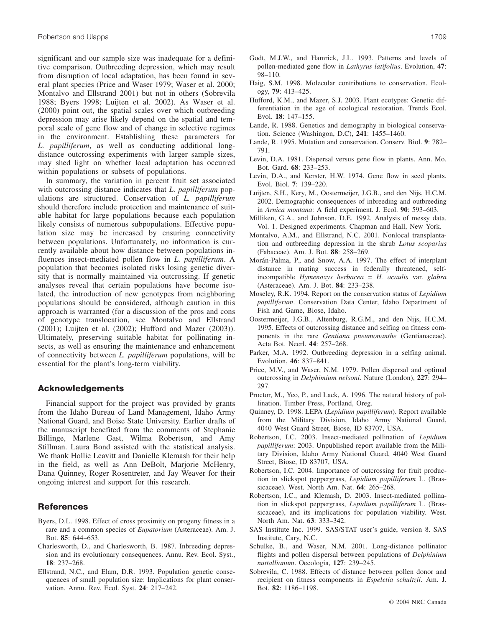significant and our sample size was inadequate for a definitive comparison. Outbreeding depression, which may result from disruption of local adaptation, has been found in several plant species (Price and Waser 1979; Waser et al. 2000; Montalvo and Ellstrand 2001) but not in others (Sobrevila 1988; Byers 1998; Luijten et al. 2002). As Waser et al. (2000) point out, the spatial scales over which outbreeding depression may arise likely depend on the spatial and temporal scale of gene flow and of change in selective regimes in the environment. Establishing these parameters for *L. papilliferum*, as well as conducting additional longdistance outcrossing experiments with larger sample sizes, may shed light on whether local adaptation has occurred within populations or subsets of populations.

In summary, the variation in percent fruit set associated with outcrossing distance indicates that *L. papilliferum* populations are structured. Conservation of *L. papilliferum* should therefore include protection and maintenance of suitable habitat for large populations because each population likely consists of numerous subpopulations. Effective population size may be increased by ensuring connectivity between populations. Unfortunately, no information is currently available about how distance between populations influences insect-mediated pollen flow in *L. papilliferum*. A population that becomes isolated risks losing genetic diversity that is normally maintained via outcrossing. If genetic analyses reveal that certain populations have become isolated, the introduction of new genotypes from neighboring populations should be considered, although caution in this approach is warranted (for a discussion of the pros and cons of genotype translocation, see Montalvo and Ellstrand (2001); Luijten et al. (2002); Hufford and Mazer (2003)). Ultimately, preserving suitable habitat for pollinating insects, as well as ensuring the maintenance and enhancement of connectivity between *L. papilliferum* populations, will be essential for the plant's long-term viability.

### **Acknowledgements**

Financial support for the project was provided by grants from the Idaho Bureau of Land Management, Idaho Army National Guard, and Boise State University. Earlier drafts of the manuscript benefited from the comments of Stephanie Billinge, Marlene Gast, Wilma Robertson, and Amy Stillman. Laura Bond assisted with the statistical analysis. We thank Hollie Leavitt and Danielle Klemash for their help in the field, as well as Ann DeBolt, Marjorie McHenry, Dana Quinney, Roger Rosentreter, and Jay Weaver for their ongoing interest and support for this research.

## **References**

- Byers, D.L. 1998. Effect of cross proximity on progeny fitness in a rare and a common species of *Eupatorium* (Asteraceae). Am. J. Bot. **85**: 644–653.
- Charlesworth, D., and Charlesworth, B. 1987. Inbreeding depression and its evolutionary consequences. Annu. Rev. Ecol. Syst., **18**: 237–268.
- Ellstrand, N.C., and Elam, D.R. 1993. Population genetic consequences of small population size: Implications for plant conservation. Annu. Rev. Ecol. Syst. **24**: 217–242.
- Godt, M.J.W., and Hamrick, J.L. 1993. Patterns and levels of pollen-mediated gene flow in *Lathyrus latifolius*. Evolution, **47**: 98–110.
- Haig, S.M. 1998. Molecular contributions to conservation. Ecology, **79**: 413–425.
- Hufford, K.M., and Mazer, S.J. 2003. Plant ecotypes: Genetic differentiation in the age of ecological restoration. Trends Ecol. Evol. **18**: 147–155.
- Lande, R. 1988. Genetics and demography in biological conservation. Science (Washingon, D.C), **241**: 1455–1460.
- Lande, R. 1995. Mutation and conservation. Conserv. Biol. **9**: 782– 791.
- Levin, D.A. 1981. Dispersal versus gene flow in plants. Ann. Mo. Bot. Gard. **68**: 233–253.
- Levin, D.A., and Kerster, H.W. 1974. Gene flow in seed plants. Evol. Biol. **7**: 139–220.
- Luijten, S.H., Kery, M., Oostermeijer, J.G.B., and den Nijs, H.C.M. 2002. Demographic consequences of inbreeding and outbreeding in *Arnica montana*: A field experiment. J. Ecol. **90**: 593–603.
- Milliken, G.A., and Johnson, D.E. 1992. Analysis of messy data. Vol. 1. Designed experiments. Chapman and Hall, New York.
- Montalvo, A.M., and Ellstrand, N.C. 2001. Nonlocal transplantation and outbreeding depression in the shrub *Lotus scoparius* (Fabaceae). Am. J. Bot. **88**: 258–269.
- Morán-Palma, P., and Snow, A.A. 1997. The effect of interplant distance in mating success in federally threatened, selfincompatible *Hymenoxys herbacea* = *H. acaulis* var. *glabra* (Asteraceae). Am. J. Bot. **84**: 233–238.
- Moseley, R.K. 1994. Report on the conservation status of *Lepidium papilliferum*. Conservation Data Center, Idaho Department of Fish and Game, Biose, Idaho.
- Oostermeijer, J.G.B., Altenburg, R.G.M., and den Nijs, H.C.M. 1995. Effects of outcrossing distance and selfing on fitness components in the rare *Gentiana pneumonanthe* (Gentianaceae). Acta Bot. Neerl. **44**: 257–268.
- Parker, M.A. 1992. Outbreeding depression in a selfing animal. Evolution, **46**: 837–841.
- Price, M.V., and Waser, N.M. 1979. Pollen dispersal and optimal outcrossing in *Delphimium nelsoni*. Nature (London), **227**: 294– 297.
- Proctor, M., Yeo, P., and Lack, A. 1996. The natural history of pollination. Timber Press, Portland, Oreg.
- Quinney, D. 1998. LEPA (*Lepidium papilliferum*). Report available from the Military Division, Idaho Army National Guard, 4040 West Guard Street, Biose, ID 83707, USA.
- Robertson, I.C. 2003. Insect-mediated pollination of *Lepidium papilliferum*: 2003. Unpublished report available from the Military Division, Idaho Army National Guard, 4040 West Guard Street, Biose, ID 83707, USA.
- Robertson, I.C. 2004. Importance of outcrossing for fruit production in slickspot peppergrass, *Lepidium papilliferum* L. (Brassicaceae). West. North Am. Nat. **64**: 265–268.
- Robertson, I.C., and Klemash, D. 2003. Insect-mediated pollination in slickspot peppergrass, *Lepidium papilliferum* L. (Brassicaceae), and its implications for population viability. West. North Am. Nat. **63**: 333–342.
- SAS Institute Inc. 1999. SAS/STAT user's guide, version 8. SAS Institute, Cary, N.C.
- Schulke, B., and Waser, N.M. 2001. Long-distance pollinator flights and pollen dispersal between populations of *Delphinium nuttallianum*. Oecologia, **127**: 239–245.
- Sobrevila, C. 1988. Effects of distance between pollen donor and recipient on fitness components in *Espeletia schultzii*. Am. J. Bot. **82**: 1186–1198.